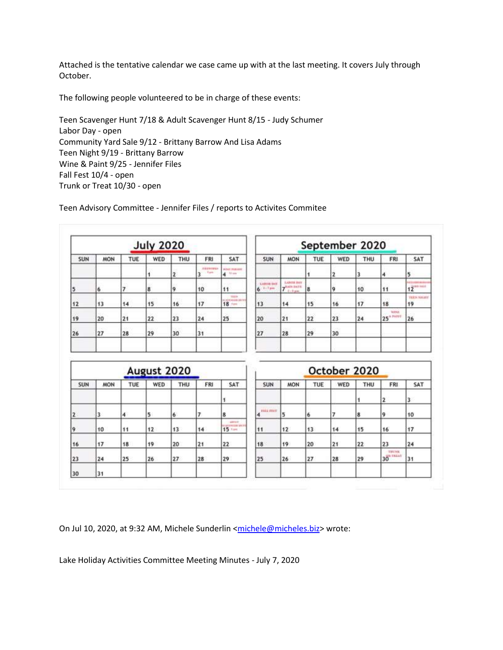Attached is the tentative calendar we case came up with at the last meeting. It covers July through October.

The following people volunteered to be in charge of these events:

Teen Scavenger Hunt 7/18 & Adult Scavenger Hunt 8/15 - Judy Schumer Labor Day - open Community Yard Sale 9/12 - Brittany Barrow And Lisa Adams Teen Night 9/19 - Brittany Barrow Wine & Paint 9/25 - Jennifer Files Fall Fest 10/4 - open Trunk or Treat 10/30 - open

| <b>July 2020</b> |     |     |              |                              |                                        |  |  |  |
|------------------|-----|-----|--------------|------------------------------|----------------------------------------|--|--|--|
| <b>MON</b>       | TUE | WED | THU          | FRI                          | SAT                                    |  |  |  |
|                  |     |     | $\mathbf{z}$ | <b>TYRE PATRICK</b><br>Major | <b>BOAT TERGIA</b><br>$4^{\circ}$ M am |  |  |  |
| 6                | 7   | 8   | 9            | 10                           | 11                                     |  |  |  |
| 13               | 14  | 15  | 16           | 17                           | 18<br>Farm                             |  |  |  |
| 20               | 21  | 22  | 23           | 24                           | 25                                     |  |  |  |
| 27               | 28  | 29  | 30           | 31                           |                                        |  |  |  |
|                  |     |     |              |                              |                                        |  |  |  |

Teen Advisory Committee - Jennifer Files / reports to Activites Commitee

| September 2020               |                                       |     |     |     |                                |                                 |  |  |  |
|------------------------------|---------------------------------------|-----|-----|-----|--------------------------------|---------------------------------|--|--|--|
| <b>SUN</b>                   | <b>MON</b>                            | TUE | WED | THU | FRI                            | <b>SAT</b>                      |  |  |  |
|                              |                                       |     | 2   | 3   |                                | 5                               |  |  |  |
| <b>TABOR DAY</b><br>$6 - 10$ | LABOR BUY<br><b>RADUATE</b><br>Likes. | 8   | 9   | 10  | 11                             | <b>NESSIERS</b><br>$12600$ sale |  |  |  |
| 13                           | 14                                    | 15  | 16  | 17  | 18                             | <b>TEEN SHUIFF</b><br>19        |  |  |  |
| 20                           | 21                                    | 22  | 23  | 24  | <b>VOTRE</b><br>a Patrot<br>25 | 26                              |  |  |  |
| 27                           | 28                                    | 29  | 30  |     |                                |                                 |  |  |  |

| August 2020 |            |     |     |     |     | October 2020     |                 |            |     |            |     |                                        |     |
|-------------|------------|-----|-----|-----|-----|------------------|-----------------|------------|-----|------------|-----|----------------------------------------|-----|
| <b>SUN</b>  | <b>MON</b> | TUE | WED | THU | FRI | SAT              | <b>SUN</b>      | <b>MON</b> | TUE | <b>WED</b> | THU | FRI                                    | SAT |
|             |            |     |     |     |     |                  |                 |            |     |            |     | 2                                      |     |
|             | з          | 4   | 5   | 16  |     | в                | milliner.<br>l4 |            | l6  |            | 8   | 19                                     | 10  |
|             | 10         | 11  | 12  | 13  | 14  | ART AT<br>$15 -$ | 11              | 12         | 13  | 14         | 15  | 16                                     | 17  |
| 16          | 17         | 18  | 19  | 20  | 21  | 22               | 18              | 19         | 20  | 21         | 22  | 23                                     | 24  |
| 23          | 24         | 25  | 26  | 27  | 28  | 29               | 25              | 26         | 27  | 28         | 29  | TIKEWA<br><b>30</b> <sup>8</sup> TREAT | 31  |
| 30          | 31         |     |     |     |     |                  |                 |            |     |            |     |                                        |     |

On Jul 10, 2020, at 9:32 AM, Michele Sunderlin [<michele@micheles.biz>](mailto:michele@micheles.biz) wrote:

Lake Holiday Activities Committee Meeting Minutes - July 7, 2020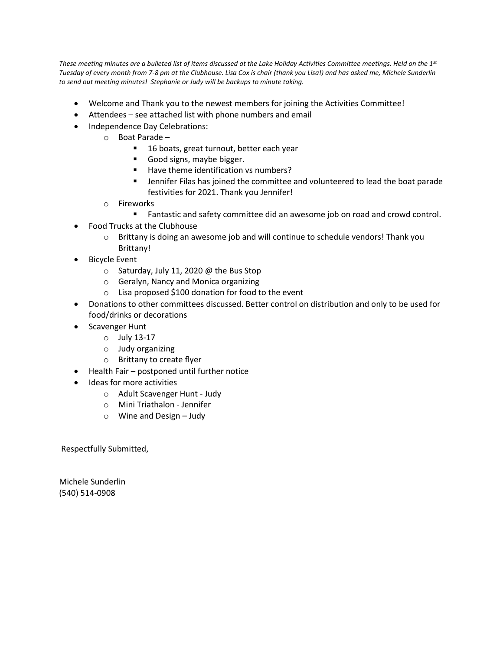*These meeting minutes are a bulleted list of items discussed at the Lake Holiday Activities Committee meetings. Held on the 1st Tuesday of every month from 7-8 pm at the Clubhouse. Lisa Cox is chair (thank you Lisa!) and has asked me, Michele Sunderlin to send out meeting minutes! Stephanie or Judy will be backups to minute taking.*

- Welcome and Thank you to the newest members for joining the Activities Committee!
- Attendees see attached list with phone numbers and email
- Independence Day Celebrations:
	- o Boat Parade
		- 16 boats, great turnout, better each year
		- Good signs, maybe bigger.
		- Have theme identification vs numbers?
		- Jennifer Filas has joined the committee and volunteered to lead the boat parade festivities for 2021. Thank you Jennifer!
	- o Fireworks
		- Fantastic and safety committee did an awesome job on road and crowd control.
- Food Trucks at the Clubhouse
	- $\circ$  Brittany is doing an awesome job and will continue to schedule vendors! Thank you Brittany!
- Bicycle Event
	- $\circ$  Saturday, July 11, 2020 @ the Bus Stop
	- o Geralyn, Nancy and Monica organizing
	- o Lisa proposed \$100 donation for food to the event
- Donations to other committees discussed. Better control on distribution and only to be used for food/drinks or decorations
- Scavenger Hunt
	- o July 13-17
	- o Judy organizing
	- o Brittany to create flyer
- Health Fair postponed until further notice
- Ideas for more activities
	- o Adult Scavenger Hunt Judy
	- o Mini Triathalon Jennifer
	- o Wine and Design Judy

Respectfully Submitted,

Michele Sunderlin (540) 514-0908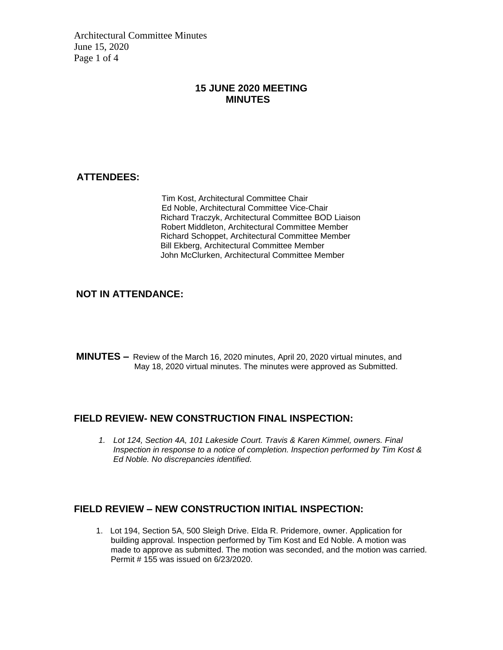Architectural Committee Minutes June 15, 2020 Page 1 of 4

#### **15 JUNE 2020 MEETING MINUTES**

### **ATTENDEES:**

Tim Kost, Architectural Committee Chair Ed Noble, Architectural Committee Vice-Chair Richard Traczyk, Architectural Committee BOD Liaison Robert Middleton, Architectural Committee Member Richard Schoppet, Architectural Committee Member Bill Ekberg, Architectural Committee Member John McClurken, Architectural Committee Member

### **NOT IN ATTENDANCE:**

**MINUTES –** Review of the March 16, 2020 minutes, April 20, 2020 virtual minutes, and May 18, 2020 virtual minutes. The minutes were approved as Submitted.

### **FIELD REVIEW- NEW CONSTRUCTION FINAL INSPECTION:**

*1. Lot 124, Section 4A, 101 Lakeside Court. Travis & Karen Kimmel, owners. Final Inspection in response to a notice of completion. Inspection performed by Tim Kost & Ed Noble. No discrepancies identified.*

### **FIELD REVIEW – NEW CONSTRUCTION INITIAL INSPECTION:**

1. Lot 194, Section 5A, 500 Sleigh Drive. Elda R. Pridemore, owner. Application for building approval. Inspection performed by Tim Kost and Ed Noble. A motion was made to approve as submitted. The motion was seconded, and the motion was carried. Permit # 155 was issued on 6/23/2020.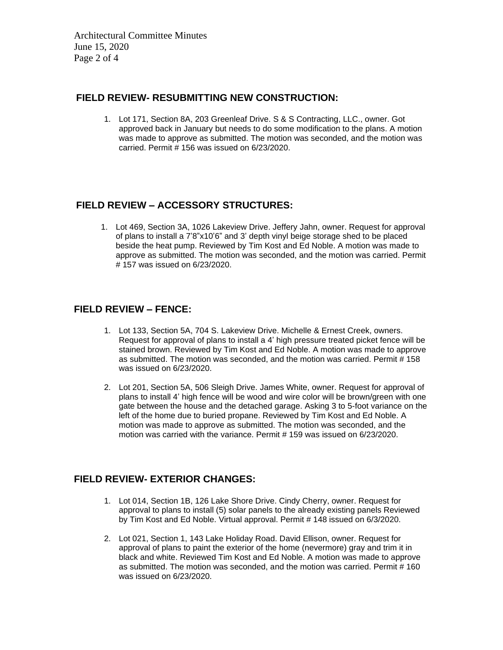Architectural Committee Minutes June 15, 2020 Page 2 of 4

#### **FIELD REVIEW- RESUBMITTING NEW CONSTRUCTION:**

1. Lot 171, Section 8A, 203 Greenleaf Drive. S & S Contracting, LLC., owner. Got approved back in January but needs to do some modification to the plans. A motion was made to approve as submitted. The motion was seconded, and the motion was carried. Permit # 156 was issued on 6/23/2020.

## **FIELD REVIEW – ACCESSORY STRUCTURES:**

1. Lot 469, Section 3A, 1026 Lakeview Drive. Jeffery Jahn, owner. Request for approval of plans to install a 7'8"x10'6" and 3' depth vinyl beige storage shed to be placed beside the heat pump. Reviewed by Tim Kost and Ed Noble. A motion was made to approve as submitted. The motion was seconded, and the motion was carried. Permit # 157 was issued on 6/23/2020.

### **FIELD REVIEW – FENCE:**

- 1. Lot 133, Section 5A, 704 S. Lakeview Drive. Michelle & Ernest Creek, owners. Request for approval of plans to install a 4' high pressure treated picket fence will be stained brown. Reviewed by Tim Kost and Ed Noble. A motion was made to approve as submitted. The motion was seconded, and the motion was carried. Permit # 158 was issued on 6/23/2020.
- 2. Lot 201, Section 5A, 506 Sleigh Drive. James White, owner. Request for approval of plans to install 4' high fence will be wood and wire color will be brown/green with one gate between the house and the detached garage. Asking 3 to 5-foot variance on the left of the home due to buried propane. Reviewed by Tim Kost and Ed Noble. A motion was made to approve as submitted. The motion was seconded, and the motion was carried with the variance. Permit # 159 was issued on 6/23/2020.

### **FIELD REVIEW- EXTERIOR CHANGES:**

- 1. Lot 014, Section 1B, 126 Lake Shore Drive. Cindy Cherry, owner. Request for approval to plans to install (5) solar panels to the already existing panels Reviewed by Tim Kost and Ed Noble. Virtual approval. Permit # 148 issued on 6/3/2020.
- 2. Lot 021, Section 1, 143 Lake Holiday Road. David Ellison, owner. Request for approval of plans to paint the exterior of the home (nevermore) gray and trim it in black and white. Reviewed Tim Kost and Ed Noble. A motion was made to approve as submitted. The motion was seconded, and the motion was carried. Permit # 160 was issued on 6/23/2020.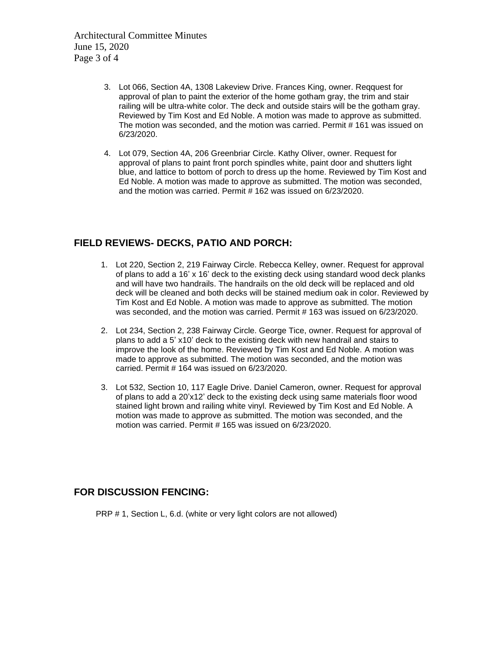Architectural Committee Minutes June 15, 2020 Page 3 of 4

- 3. Lot 066, Section 4A, 1308 Lakeview Drive. Frances King, owner. Reqquest for approval of plan to paint the exterior of the home gotham gray, the trim and stair railing will be ultra-white color. The deck and outside stairs will be the gotham gray. Reviewed by Tim Kost and Ed Noble. A motion was made to approve as submitted. The motion was seconded, and the motion was carried. Permit # 161 was issued on 6/23/2020.
- 4. Lot 079, Section 4A, 206 Greenbriar Circle. Kathy Oliver, owner. Request for approval of plans to paint front porch spindles white, paint door and shutters light blue, and lattice to bottom of porch to dress up the home. Reviewed by Tim Kost and Ed Noble. A motion was made to approve as submitted. The motion was seconded, and the motion was carried. Permit # 162 was issued on 6/23/2020.

### **FIELD REVIEWS- DECKS, PATIO AND PORCH:**

- 1. Lot 220, Section 2, 219 Fairway Circle. Rebecca Kelley, owner. Request for approval of plans to add a 16' x 16' deck to the existing deck using standard wood deck planks and will have two handrails. The handrails on the old deck will be replaced and old deck will be cleaned and both decks will be stained medium oak in color. Reviewed by Tim Kost and Ed Noble. A motion was made to approve as submitted. The motion was seconded, and the motion was carried. Permit # 163 was issued on 6/23/2020.
- 2. Lot 234, Section 2, 238 Fairway Circle. George Tice, owner. Request for approval of plans to add a 5' x10' deck to the existing deck with new handrail and stairs to improve the look of the home. Reviewed by Tim Kost and Ed Noble. A motion was made to approve as submitted. The motion was seconded, and the motion was carried. Permit # 164 was issued on 6/23/2020.
- 3. Lot 532, Section 10, 117 Eagle Drive. Daniel Cameron, owner. Request for approval of plans to add a 20'x12' deck to the existing deck using same materials floor wood stained light brown and railing white vinyl. Reviewed by Tim Kost and Ed Noble. A motion was made to approve as submitted. The motion was seconded, and the motion was carried. Permit # 165 was issued on 6/23/2020.

### **FOR DISCUSSION FENCING:**

PRP # 1, Section L, 6.d. (white or very light colors are not allowed)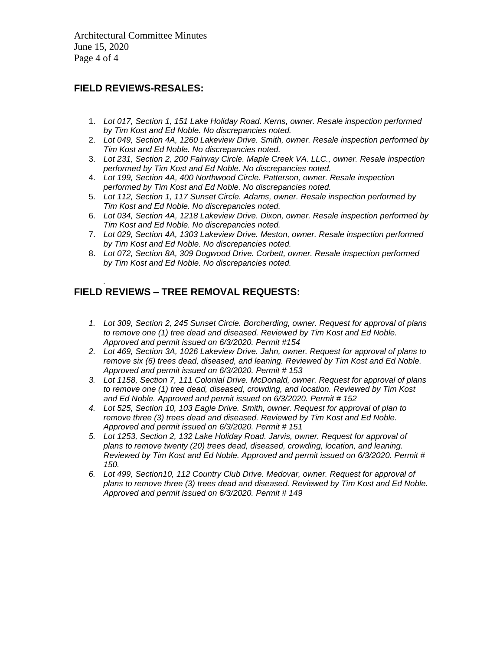Architectural Committee Minutes June 15, 2020 Page 4 of 4

### **FIELD REVIEWS-RESALES:**

- 1. *Lot 017, Section 1, 151 Lake Holiday Road. Kerns, owner. Resale inspection performed by Tim Kost and Ed Noble. No discrepancies noted.*
- 2. *Lot 049, Section 4A, 1260 Lakeview Drive. Smith, owner. Resale inspection performed by Tim Kost and Ed Noble. No discrepancies noted.*
- 3. *Lot 231, Section 2, 200 Fairway Circle. Maple Creek VA. LLC., owner. Resale inspection performed by Tim Kost and Ed Noble. No discrepancies noted.*
- 4. *Lot 199, Section 4A, 400 Northwood Circle. Patterson, owner. Resale inspection performed by Tim Kost and Ed Noble. No discrepancies noted.*
- 5. *Lot 112, Section 1, 117 Sunset Circle. Adams, owner. Resale inspection performed by Tim Kost and Ed Noble. No discrepancies noted.*
- 6. *Lot 034, Section 4A, 1218 Lakeview Drive. Dixon, owner. Resale inspection performed by Tim Kost and Ed Noble. No discrepancies noted.*
- 7. *Lot 029, Section 4A, 1303 Lakeview Drive. Meston, owner. Resale inspection performed by Tim Kost and Ed Noble. No discrepancies noted.*
- 8. *Lot 072, Section 8A, 309 Dogwood Drive. Corbett, owner. Resale inspection performed by Tim Kost and Ed Noble. No discrepancies noted.*

#### *.* **FIELD REVIEWS – TREE REMOVAL REQUESTS:**

- *1. Lot 309, Section 2, 245 Sunset Circle. Borcherding, owner. Request for approval of plans to remove one (1) tree dead and diseased. Reviewed by Tim Kost and Ed Noble. Approved and permit issued on 6/3/2020. Permit #154*
- *2. Lot 469, Section 3A, 1026 Lakeview Drive. Jahn, owner. Request for approval of plans to remove six (6) trees dead, diseased, and leaning. Reviewed by Tim Kost and Ed Noble. Approved and permit issued on 6/3/2020. Permit # 153*
- *3. Lot 1158, Section 7, 111 Colonial Drive. McDonald, owner. Request for approval of plans to remove one (1) tree dead, diseased, crowding, and location. Reviewed by Tim Kost and Ed Noble. Approved and permit issued on 6/3/2020. Permit # 152*
- *4. Lot 525, Section 10, 103 Eagle Drive. Smith, owner. Request for approval of plan to remove three (3) trees dead and diseased. Reviewed by Tim Kost and Ed Noble. Approved and permit issued on 6/3/2020. Permit # 151*
- *5. Lot 1253, Section 2, 132 Lake Holiday Road. Jarvis, owner. Request for approval of plans to remove twenty (20) trees dead, diseased, crowding, location, and leaning. Reviewed by Tim Kost and Ed Noble. Approved and permit issued on 6/3/2020. Permit # 150.*
- *6. Lot 499, Section10, 112 Country Club Drive. Medovar, owner. Request for approval of plans to remove three (3) trees dead and diseased. Reviewed by Tim Kost and Ed Noble. Approved and permit issued on 6/3/2020. Permit # 149*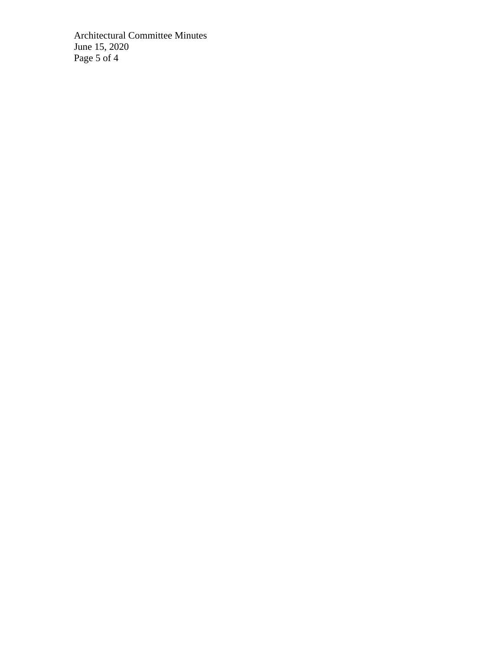Architectural Committee Minutes June 15, 2020 Page 5 of 4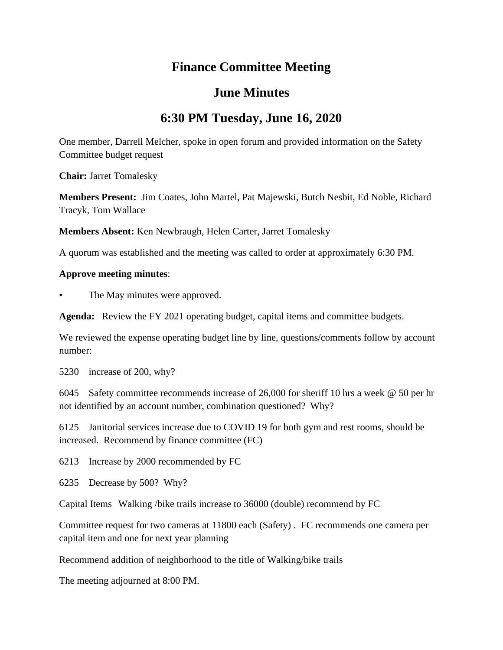# **Finance Committee Meeting**

# **June Minutes**

# **6:30 PM Tuesday, June 16, 2020**

One member, Darrell Melcher, spoke in open forum and provided information on the Safety Committee budget request

**Chair:** Jarret Tomalesky

**Members Present:** Jim Coates, John Martel, Pat Majewski, Butch Nesbit, Ed Noble, Richard Tracyk, Tom Wallace

**Members Absent:** Ken Newbraugh, Helen Carter, Jarret Tomalesky

A quorum was established and the meeting was called to order at approximately 6:30 PM.

#### **Approve meeting minutes**:

The May minutes were approved.

**Agenda:** Review the FY 2021 operating budget, capital items and committee budgets.

We reviewed the expense operating budget line by line, questions/comments follow by account number:

5230 increase of 200, why?

6045 Safety committee recommends increase of 26,000 for sheriff 10 hrs a week @ 50 per hr not identified by an account number, combination questioned? Why?

6125 Janitorial services increase due to COVID 19 for both gym and rest rooms, should be increased. Recommend by finance committee (FC)

6213 Increase by 2000 recommended by FC

6235 Decrease by 500? Why?

Capital Items Walking /bike trails increase to 36000 (double) recommend by FC

Committee request for two cameras at 11800 each (Safety) . FC recommends one camera per capital item and one for next year planning

Recommend addition of neighborhood to the title of Walking/bike trails

The meeting adjourned at 8:00 PM.